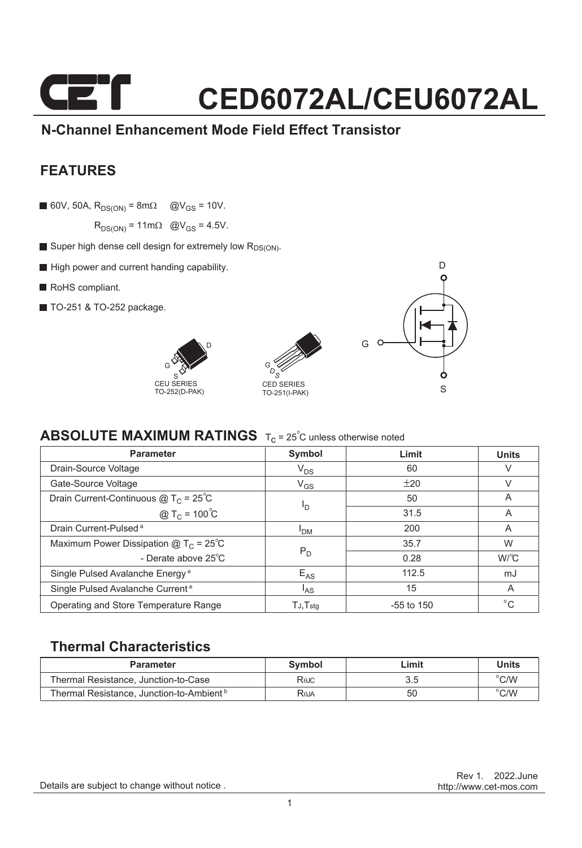### CET **CED6072AL/CEU6072AL**

### **N-Channel Enhancement Mode Field Effect Transistor**

### **FEATURES**

60V, 50A,  $R_{DS(ON)} = 8m\Omega$  @V<sub>GS</sub> = 10V.

 $R_{DS(ON)} = 11 \text{m}\Omega$  @V<sub>GS</sub> = 4.5V.

- Super high dense cell design for extremely low  $R_{DS(ON)}$ .
- High power and current handing capability.
- RoHS compliant.
- **TO-251 & TO-252 package.**







### **ABSOLUTE MAXIMUM RATINGS** T<sub>c</sub> = 25<sup>°</sup>C unless otherwise noted

| <b>Parameter</b>                             | Symbol          | Limit        | <b>Units</b> |
|----------------------------------------------|-----------------|--------------|--------------|
| Drain-Source Voltage                         | $V_{DS}$        | 60           | V            |
| Gate-Source Voltage                          | $V_{GS}$        | ±20          | V            |
| Drain Current-Continuous $@T_c = 25°C$       | I <sub>D</sub>  | 50           | A            |
| @ T <sub>C</sub> = $100^{\circ}C$            |                 | 31.5         | A            |
| Drain Current-Pulsed <sup>a</sup>            | <sup>I</sup> DM | 200          | A            |
| Maximum Power Dissipation $@TC = 25°C$       | $P_D$           | 35.7         | W            |
| - Derate above $25^{\circ}$ C                |                 | 0.28         | $W^{\circ}C$ |
| Single Pulsed Avalanche Energy <sup>e</sup>  | $E_{AS}$        | 112.5        | mJ           |
| Single Pulsed Avalanche Current <sup>e</sup> | l <sub>AS</sub> | 15           | A            |
| Operating and Store Temperature Range        | $TJ$ , $Tstq$   | $-55$ to 150 | $^{\circ}$ C |

#### **Thermal Characteristics**

| <b>Parameter</b>                                     | Symbol | Limit | <b>Units</b>   |
|------------------------------------------------------|--------|-------|----------------|
| Thermal Resistance, Junction-to-Case                 | Rejc   |       | $^{\circ}$ C/W |
| Thermal Resistance, Junction-to-Ambient <sup>b</sup> | Raja   | 50    | $^{\circ}$ C/W |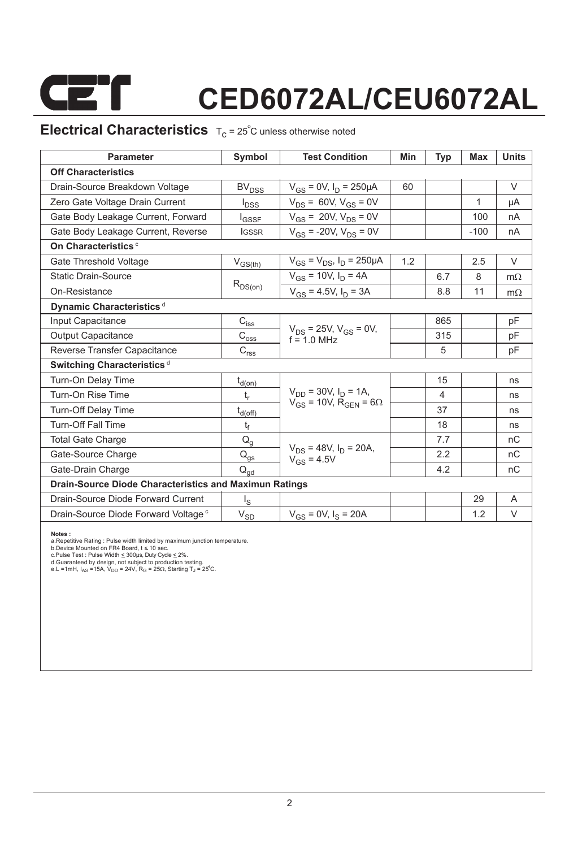

# **CED6072AL/CEU6072AL**

### **Electrical Characteristics**  $T_c = 25^\circ$ C unless otherwise noted

| <b>Parameter</b>                                              | Symbol                                                                | <b>Test Condition</b>                                                        | Min | <b>Typ</b> | <b>Max</b> | <b>Units</b> |  |  |  |  |
|---------------------------------------------------------------|-----------------------------------------------------------------------|------------------------------------------------------------------------------|-----|------------|------------|--------------|--|--|--|--|
| <b>Off Characteristics</b>                                    |                                                                       |                                                                              |     |            |            |              |  |  |  |  |
| Drain-Source Breakdown Voltage                                | <b>BV<sub>DSS</sub></b>                                               | $V_{GS} = 0V$ , $I_D = 250 \mu A$                                            | 60  |            |            | $\vee$       |  |  |  |  |
| Zero Gate Voltage Drain Current                               | $I_{\text{DSS}}$                                                      | $V_{DS}$ = 60V, $V_{GS}$ = 0V                                                |     |            | 1          | μA           |  |  |  |  |
| Gate Body Leakage Current, Forward                            | <b>I</b> GSSF                                                         | $V_{GS}$ = 20V, $V_{DS}$ = 0V                                                |     |            | 100        | nA           |  |  |  |  |
| Gate Body Leakage Current, Reverse                            | <b>IGSSR</b>                                                          | $V_{GS}$ = -20V, $V_{DS}$ = 0V                                               |     |            | $-100$     | nA           |  |  |  |  |
| On Characteristics <sup>c</sup>                               |                                                                       |                                                                              |     |            |            |              |  |  |  |  |
| Gate Threshold Voltage                                        | $V_{GS(th)}$                                                          | $V_{GS} = V_{DS}$ , $I_D = 250 \mu A$                                        | 1.2 |            | 2.5        | $\vee$       |  |  |  |  |
| <b>Static Drain-Source</b>                                    |                                                                       | $V_{GS}$ = 10V, $I_D$ = 4A                                                   |     | 6.7        | 8          | $m\Omega$    |  |  |  |  |
| On-Resistance                                                 | $R_{DS(on)}$                                                          | $V_{GS} = 4.5V$ , $I_D = 3A$                                                 |     | 8.8        | 11         | $m\Omega$    |  |  |  |  |
| Dynamic Characteristics <sup>d</sup>                          |                                                                       |                                                                              |     |            |            |              |  |  |  |  |
| Input Capacitance                                             | $C_{i s \underline{s}}$                                               |                                                                              |     | 865        |            | рF           |  |  |  |  |
| <b>Output Capacitance</b>                                     | $\text{C}_{\text{oss}}$                                               | $V_{DS}$ = 25V, $V_{GS}$ = 0V,<br>$f = 1.0$ MHz                              |     | 315        |            | pF           |  |  |  |  |
| Reverse Transfer Capacitance                                  | $\mathsf{C}_{\mathsf{r}\underline{\mathsf{s}}\underline{\mathsf{s}}}$ |                                                                              |     | 5          |            | pF           |  |  |  |  |
| Switching Characteristics <sup>d</sup>                        |                                                                       |                                                                              |     |            |            |              |  |  |  |  |
| Turn-On Delay Time                                            | $t_{d(0n)}$                                                           |                                                                              |     | 15         |            | ns           |  |  |  |  |
| Turn-On Rise Time                                             | t,                                                                    | $V_{DD}$ = 30V, $I_D$ = 1A,<br>$V_{GS}$ = 10V, R <sub>GEN</sub> = 6 $\Omega$ |     | 4          |            | ns           |  |  |  |  |
| Turn-Off Delay Time                                           | $t_{d(\text{off})}$                                                   |                                                                              |     | 37         |            | ns           |  |  |  |  |
| <b>Turn-Off Fall Time</b>                                     | t <sub>f</sub>                                                        |                                                                              |     | 18         |            | ns           |  |  |  |  |
| <b>Total Gate Charge</b>                                      | $Q_q$                                                                 |                                                                              |     | 7.7        |            | nC           |  |  |  |  |
| Gate-Source Charge                                            | $Q_{gs}$                                                              | $V_{DS}$ = 48V, $I_D$ = 20A,<br>$V_{GS} = 4.5V$                              |     | 2.2        |            | nC           |  |  |  |  |
| Gate-Drain Charge                                             | $Q_{gd}$                                                              |                                                                              |     | 4.2        |            | nC           |  |  |  |  |
| <b>Drain-Source Diode Characteristics and Maximun Ratings</b> |                                                                       |                                                                              |     |            |            |              |  |  |  |  |
| Drain-Source Diode Forward Current                            | $\lg$                                                                 |                                                                              |     |            | 29         | A            |  |  |  |  |
| Drain-Source Diode Forward Voltage <sup>c</sup>               | $V_{\text{SD}}$                                                       | $V_{GS}$ = 0V, $I_S$ = 20A                                                   |     |            | 1.2        | V            |  |  |  |  |

**Notes :**<br>a.Repetitive Rating : Pulse width limited by maximum junction temperature.<br>b.Device Mounted on FR4 Board, t ≤ 10 sec.<br>c.Pulse Test : Pulse Width ≤ 300µs, Duty Cyde ≤ 2%.<br>d.Guaranteed by design, not subject to pr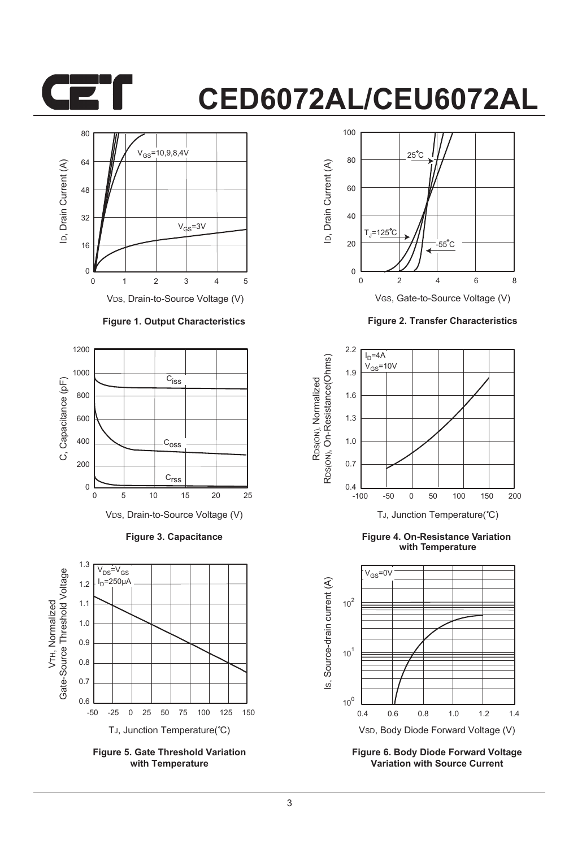

## **CED6072AL/CEU6072AL**



VDS, Drain-to-Source Voltage (V)

#### **Figure 1. Output Characteristics**



**Figure 3. Capacitance**



**Figure 5. Gate Threshold Variation with Temperature**



**Figure 2. Transfer Characteristics**



**Figure 4. On-Resistance Variation with Temperature**



**Figure 6. Body Diode Forward Voltage Variation with Source Current**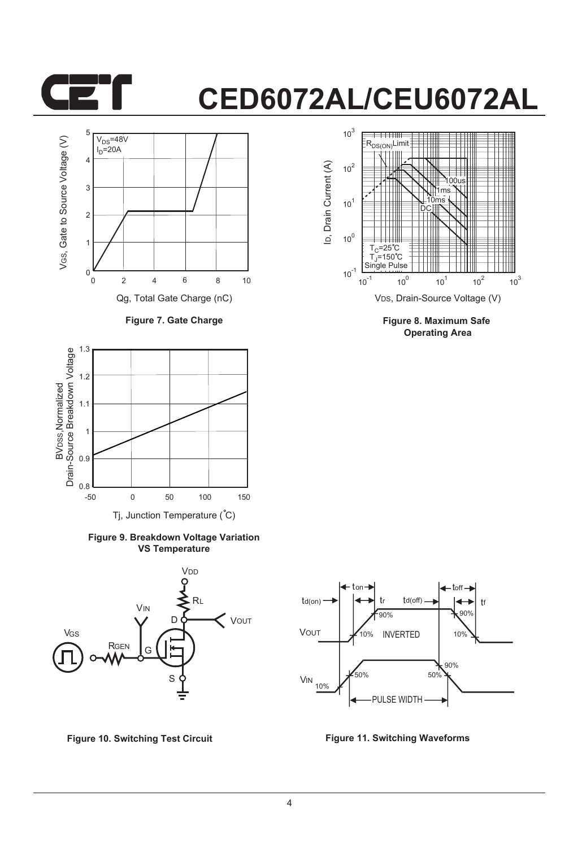

### **CED6072AL/CEU6072AL**



**Figure 7. Gate Charge**



**Figure 9. Breakdown Voltage Variation VS Temperature**





**Figure 8. Maximum Safe Operating Area**



**Figure 10. Switching Test Circuit Figure 11. Switching Waveforms**